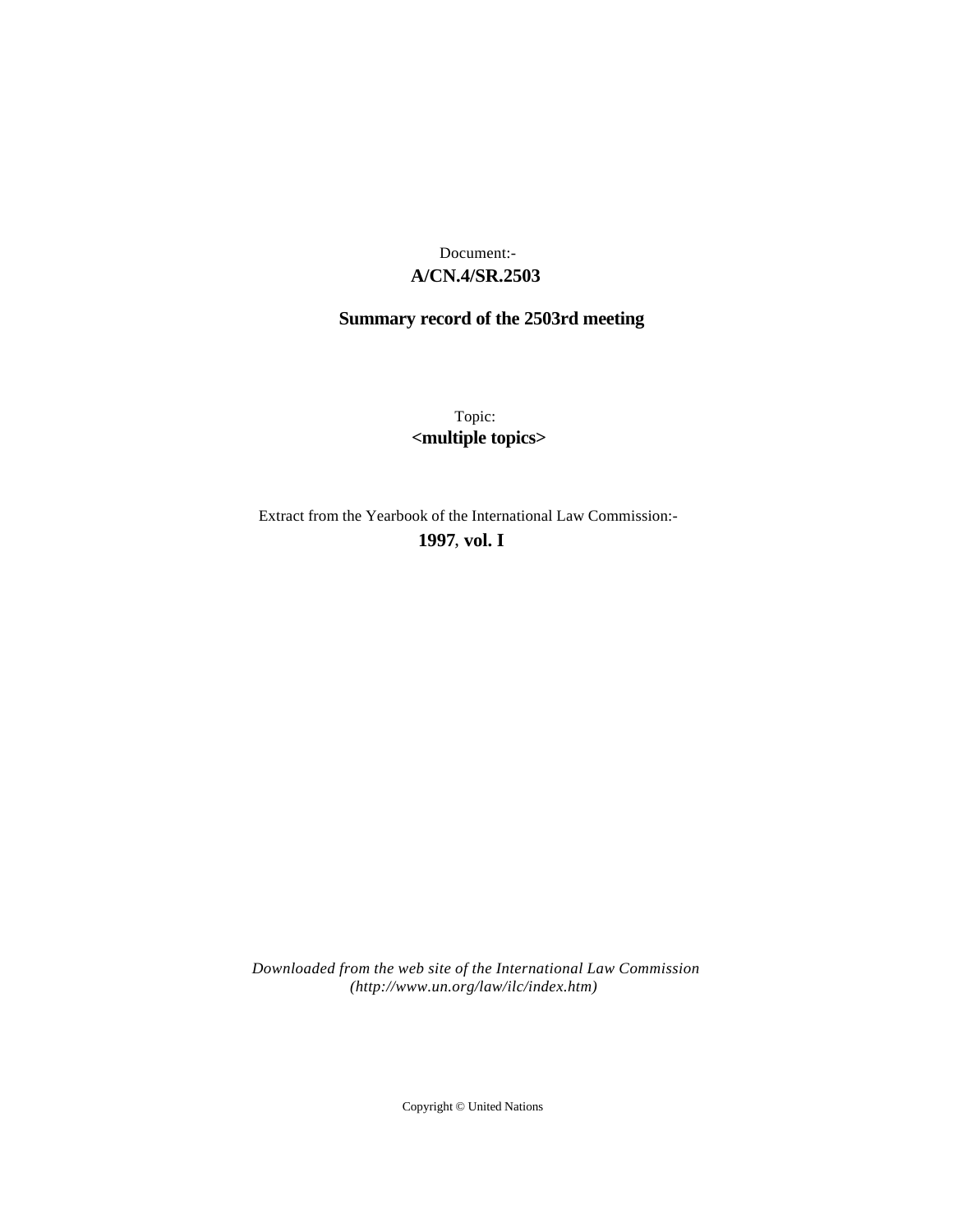## **A/CN.4/SR.2503** Document:-

# **Summary record of the 2503rd meeting**

Topic: **<multiple topics>**

Extract from the Yearbook of the International Law Commission:-

**1997** , **vol. I**

*Downloaded from the web site of the International Law Commission (http://www.un.org/law/ilc/index.htm)*

Copyright © United Nations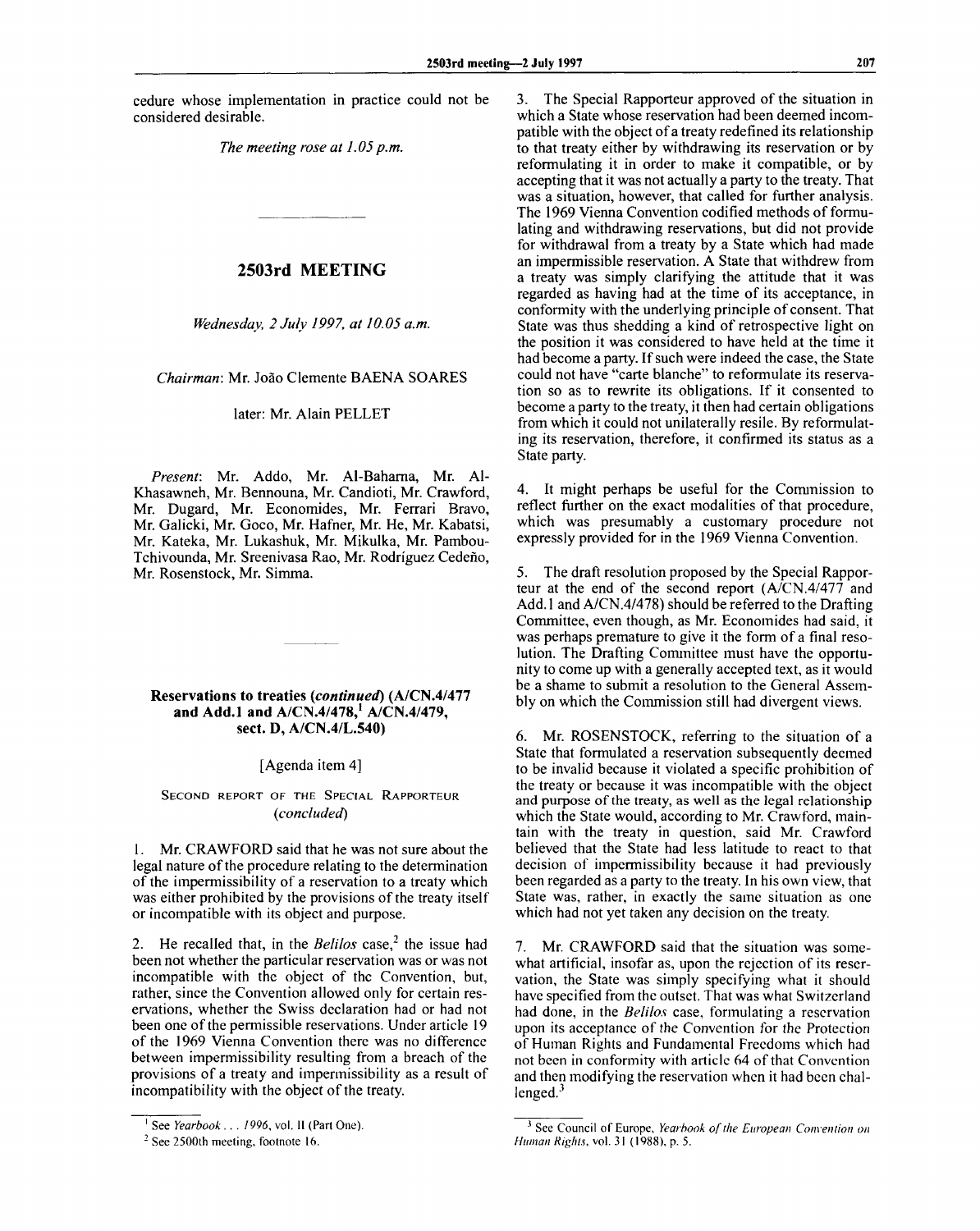cedure whose implementation in practice could not be considered desirable.

*The meeting rose at 1.05p.m.*

### **2503rd MEETING**

*Wednesday, 2 July 1997, at 10.05 a.m.*

*Chairman: Mr. João Clemente BAENA SOARES* 

later: Mr. Alain PELLET

*Present:* Mr. Addo, Mr. Al-Baharna, Mr. Al-Khasawneh, Mr. Bennouna, Mr. Candioti, Mr. Crawford, Mr. Dugard, Mr. Economides, Mr. Ferrari Bravo, Mr. Galicki, Mr. Goco, Mr. Hafner, Mr. He, Mr. Kabatsi, Mr. Kateka, Mr. Lukashuk, Mr. Mikulka, Mr. Pambou-Tchivounda, Mr. Sreenivasa Rao, Mr. Rodriguez Cedeno, Mr. Rosenstock, Mr. Simma.

#### **Reservations to treaties** *{continued)* **(A/CN.4/477 and Add.l and A/CN.4/478,<sup>1</sup> A/CN.4/479, sect. D, A/CN.4/L.540)**

## [Agenda item 4]

### SECOND REPORT OF THE SPECIAL RAPPORTEUR *{concluded)*

Mr. CRAWFORD said that he was not sure about the legal nature of the procedure relating to the determination of the impermissibility of a reservation to a treaty which was either prohibited by the provisions of the treaty itself or incompatible with its object and purpose.

2. He recalled that, in the *Belilos* case,<sup>2</sup> the issue had been not whether the particular reservation was or was not incompatible with the object of the Convention, but, rather, since the Convention allowed only for certain reservations, whether the Swiss declaration had or had not been one of the permissible reservations. Under article 19 of the 1969 Vienna Convention there was no difference between impermissibility resulting from a breach of the provisions of a treaty and impermissibility as a result of incompatibility with the object of the treaty.

3. The Special Rapporteur approved of the situation in which a State whose reservation had been deemed incompatible with the object of a treaty redefined its relationship to that treaty either by withdrawing its reservation or by reformulating it in order to make it compatible, or by accepting that it was not actually a party to the treaty. That was a situation, however, that called for further analysis. The 1969 Vienna Convention codified methods of formulating and withdrawing reservations, but did not provide for withdrawal from a treaty by a State which had made an impermissible reservation. A State that withdrew from a treaty was simply clarifying the attitude that it was regarded as having had at the time of its acceptance, in conformity with the underlying principle of consent. That State was thus shedding a kind of retrospective light on the position it was considered to have held at the time it had become a party. If such were indeed the case, the State could not have "carte blanche" to reformulate its reservation so as to rewrite its obligations. If it consented to become a party to the treaty, it then had certain obligations from which it could not unilaterally resile. By reformulating its reservation, therefore, it confirmed its status as a State party.

4. It might perhaps be useful for the Commission to reflect further on the exact modalities of that procedure, which was presumably a customary procedure not expressly provided for in the 1969 Vienna Convention.

5. The draft resolution proposed by the Special Rapporteur at the end of the second report (A/CN.4/477 and Add. 1 and A/CN.4/478) should be referred to the Drafting Committee, even though, as Mr. Economides had said, it was perhaps premature to give it the form of a final resolution. The Drafting Committee must have the opportunity to come up with a generally accepted text, as it would be a shame to submit a resolution to the General Assembly on which the Commission still had divergent views.

6. Mr. ROSENSTOCK, referring to the situation of a State that formulated a reservation subsequently deemed to be invalid because it violated a specific prohibition of the treaty or because it was incompatible with the object and purpose of the treaty, as well as the legal relationship which the State would, according to Mr. Crawford, maintain with the treaty in question, said Mr. Crawford believed that the State had less latitude to react to that decision of impermissibility because it had previously been regarded as a party to the treaty. In his own view, that State was, rather, in exactly the same situation as one which had not yet taken any decision on the treaty.

7. Mr. CRAWFORD said that the situation was somewhat artificial, insofar as, upon the rejection of its reservation, the State was simply specifying what it should have specified from the outset. That was what Switzerland had done, in the *Belilos* case, formulating a reservation upon its acceptance of the Convention for the Protection of Human Rights and Fundamental Freedoms which had not been in conformity with article 64 of that Convention and then modifying the reservation when it had been challenged. $3$ 

<sup>1</sup> See *Yearbook . . . 1996,* vol. II (Part One).

 $2$  See 2500th meeting, footnote 16.

<sup>&</sup>lt;sup>3</sup> See Council of Europe, *Yearbook of the European Convention on Human Rights,* vol. 31 (1988), p. 5.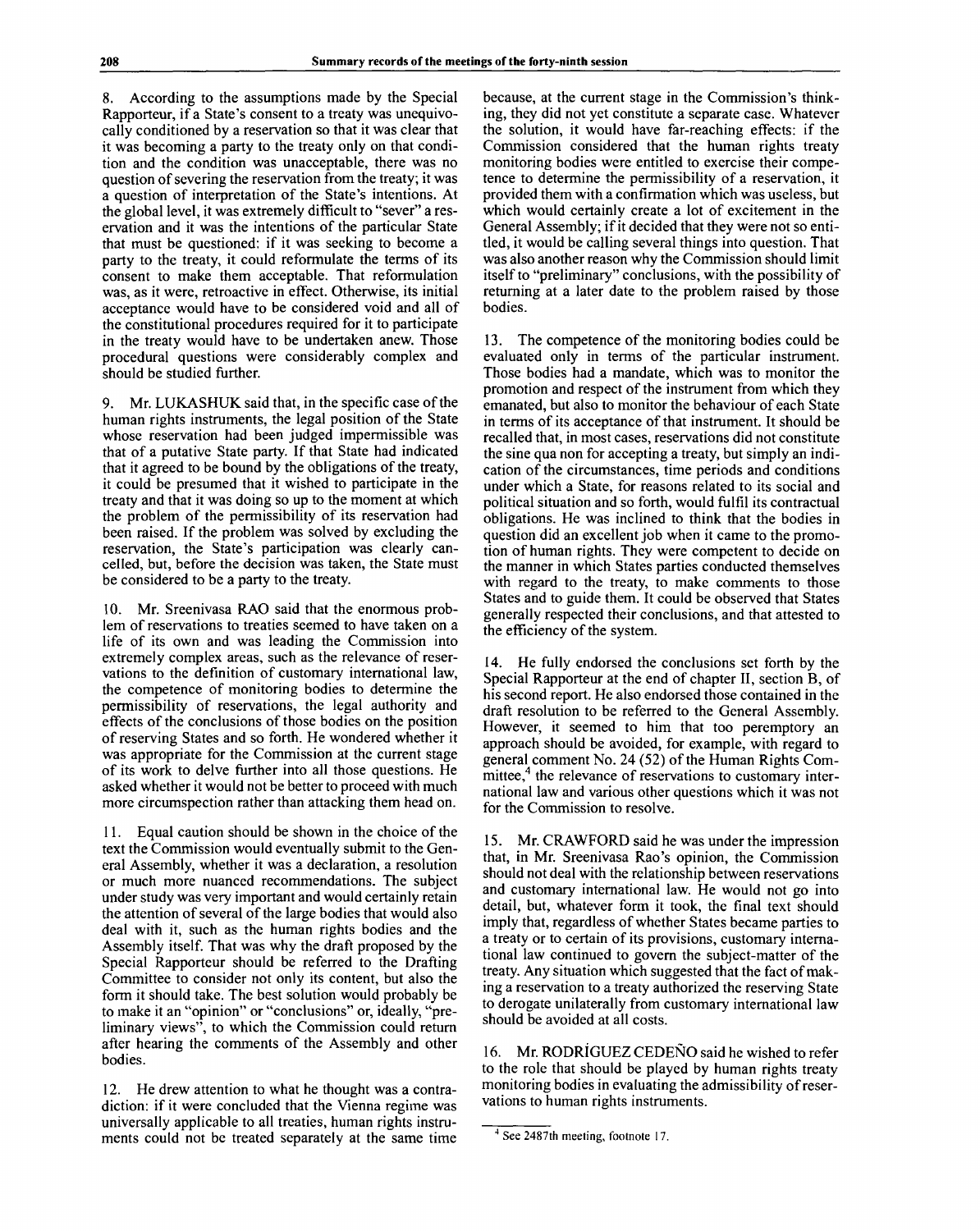8. According to the assumptions made by the Special Rapporteur, if a State's consent to a treaty was unequivocally conditioned by a reservation so that it was clear that it was becoming a party to the treaty only on that condition and the condition was unacceptable, there was no question of severing the reservation from the treaty; it was a question of interpretation of the State's intentions. At the global level, it was extremely difficult to "sever" a reservation and it was the intentions of the particular State that must be questioned: if it was seeking to become a party to the treaty, it could reformulate the terms of its consent to make them acceptable. That reformulation was, as it were, retroactive in effect. Otherwise, its initial acceptance would have to be considered void and all of the constitutional procedures required for it to participate in the treaty would have to be undertaken anew. Those procedural questions were considerably complex and should be studied further.

9. Mr. LUKASHUK said that, in the specific case of the human rights instruments, the legal position of the State whose reservation had been judged impermissible was that of a putative State party. If that State had indicated that it agreed to be bound by the obligations of the treaty, it could be presumed that it wished to participate in the treaty and that it was doing so up to the moment at which the problem of the permissibility of its reservation had been raised. If the problem was solved by excluding the reservation, the State's participation was clearly cancelled, but, before the decision was taken, the State must be considered to be a party to the treaty.

10. Mr. Sreenivasa RAO said that the enormous problem of reservations to treaties seemed to have taken on a life of its own and was leading the Commission into extremely complex areas, such as the relevance of reservations to the definition of customary international law, the competence of monitoring bodies to determine the permissibility of reservations, the legal authority and effects of the conclusions of those bodies on the position of reserving States and so forth. He wondered whether it was appropriate for the Commission at the current stage of its work to delve further into all those questions. He asked whether it would not be better to proceed with much more circumspection rather than attacking them head on.

11. Equal caution should be shown in the choice of the text the Commission would eventually submit to the General Assembly, whether it was a declaration, a resolution or much more nuanced recommendations. The subject under study was very important and would certainly retain the attention of several of the large bodies that would also deal with it, such as the human rights bodies and the Assembly itself. That was why the draft proposed by the Special Rapporteur should be referred to the Drafting Committee to consider not only its content, but also the form it should take. The best solution would probably be to make it an "opinion" or "conclusions" or, ideally, "preliminary views", to which the Commission could return after hearing the comments of the Assembly and other bodies.

12. He drew attention to what he thought was a contradiction: if it were concluded that the Vienna regime was universally applicable to all treaties, human rights instruments could not be treated separately at the same time because, at the current stage in the Commission's thinking, they did not yet constitute a separate case. Whatever the solution, it would have far-reaching effects: if the Commission considered that the human rights treaty monitoring bodies were entitled to exercise their competence to determine the permissibility of a reservation, it provided them with a confirmation which was useless, but which would certainly create a lot of excitement in the General Assembly; if it decided that they were not so entitled, it would be calling several things into question. That was also another reason why the Commission should limit itself to "preliminary" conclusions, with the possibility of returning at a later date to the problem raised by those bodies.

13. The competence of the monitoring bodies could be evaluated only in terms of the particular instrument. Those bodies had a mandate, which was to monitor the promotion and respect of the instrument from which they emanated, but also to monitor the behaviour of each State in terms of its acceptance of that instrument. It should be recalled that, in most cases, reservations did not constitute the sine qua non for accepting a treaty, but simply an indication of the circumstances, time periods and conditions under which a State, for reasons related to its social and political situation and so forth, would fulfil its contractual obligations. He was inclined to think that the bodies in question did an excellent job when it came to the promotion of human rights. They were competent to decide on the manner in which States parties conducted themselves with regard to the treaty, to make comments to those States and to guide them. It could be observed that States generally respected their conclusions, and that attested to the efficiency of the system.

14. He fully endorsed the conclusions set forth by the Special Rapporteur at the end of chapter II, section B, of his second report. He also endorsed those contained in the draft resolution to be referred to the General Assembly. However, it seemed to him that too peremptory an approach should be avoided, for example, with regard to general comment No. 24 (52) of the Human Rights Com $m$ ittee,<sup>4</sup> the relevance of reservations to customary international law and various other questions which it was not for the Commission to resolve.

15. Mr. CRAWFORD said he was under the impression that, in Mr. Sreenivasa Rao's opinion, the Commission should not deal with the relationship between reservations and customary international law. He would not go into detail, but, whatever form it took, the final text should imply that, regardless of whether States became parties to a treaty or to certain of its provisions, customary international law continued to govern the subject-matter of the treaty. Any situation which suggested that the fact of making a reservation to a treaty authorized the reserving State to derogate unilaterally from customary international law should be avoided at all costs.

16. Mr. RODRIGUEZ CEDENO said he wished to refer to the role that should be played by human rights treaty monitoring bodies in evaluating the admissibility of reservations to human rights instruments.

**<sup>4</sup> See 2487th meeting, footnote 17.**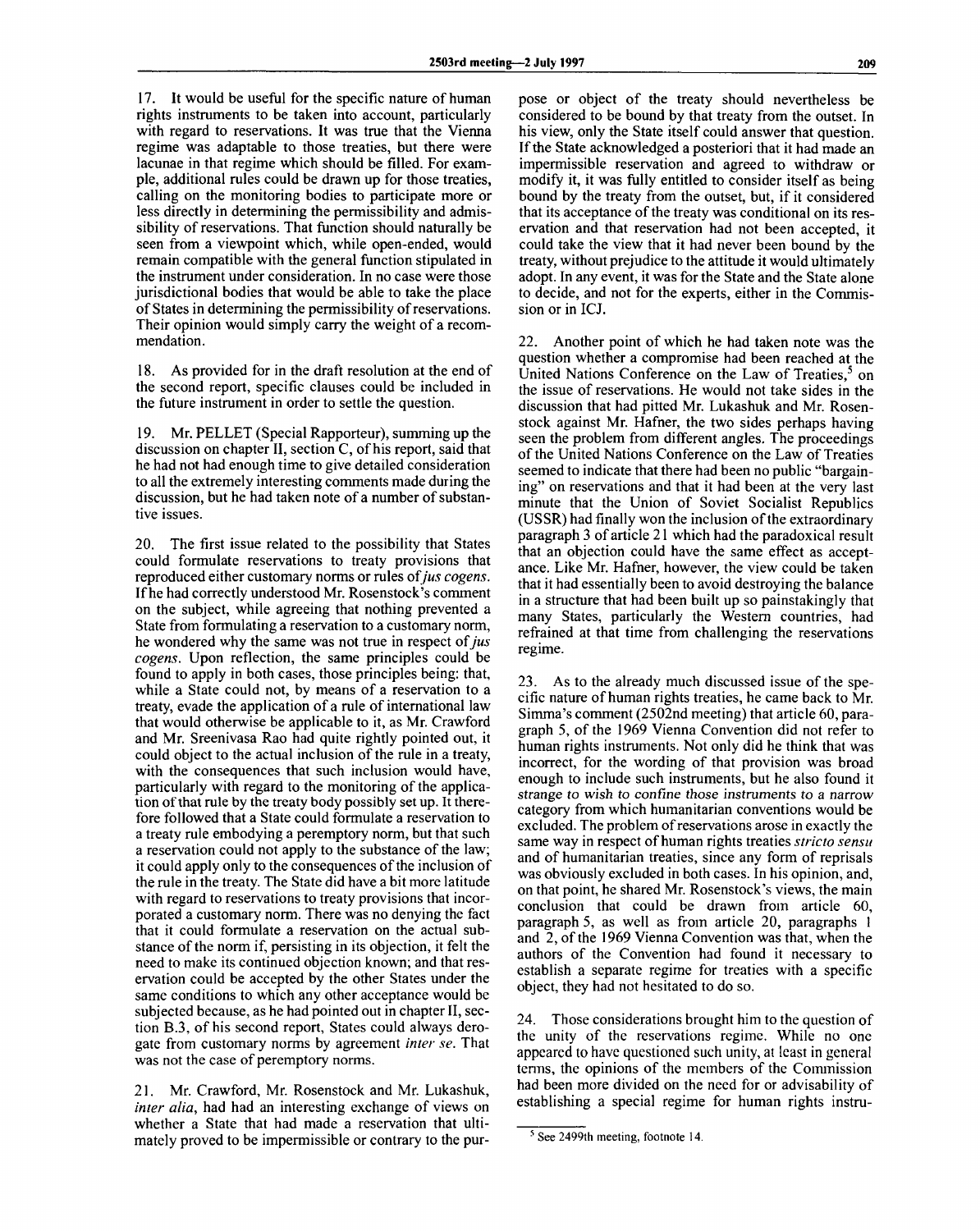17. It would be useful for the specific nature of human rights instruments to be taken into account, particularly with regard to reservations. It was true that the Vienna regime was adaptable to those treaties, but there were lacunae in that regime which should be filled. For example, additional rules could be drawn up for those treaties, calling on the monitoring bodies to participate more or less directly in determining the permissibility and admissibility of reservations. That function should naturally be seen from a viewpoint which, while open-ended, would remain compatible with the general function stipulated in the instrument under consideration. In no case were those jurisdictional bodies that would be able to take the place of States in determining the permissibility of reservations. Their opinion would simply carry the weight of a recommendation.

18. As provided for in the draft resolution at the end of the second report, specific clauses could be included in the future instrument in order to settle the question.

19. Mr. PELLET (Special Rapporteur), summing up the discussion on chapter II, section C, of his report, said that he had not had enough time to give detailed consideration to all the extremely interesting comments made during the discussion, but he had taken note of a number of substantive issues.

20. The first issue related to the possibility that States could formulate reservations to treaty provisions that reproduced either customary norms or rules *of jus cogens.* If he had correctly understood Mr. Rosenstock's comment on the subject, while agreeing that nothing prevented a State from formulating a reservation to a customary norm, he wondered why the same was not true in respect *of jus cogens.* Upon reflection, the same principles could be found to apply in both cases, those principles being: that, while a State could not, by means of a reservation to a treaty, evade the application of a rule of international law that would otherwise be applicable to it, as Mr. Crawford and Mr. Sreenivasa Rao had quite rightly pointed out, it could object to the actual inclusion of the rule in a treaty, with the consequences that such inclusion would have, particularly with regard to the monitoring of the application of that rule by the treaty body possibly set up. It therefore followed that a State could formulate a reservation to a treaty rule embodying a peremptory norm, but that such a reservation could not apply to the substance of the law; it could apply only to the consequences of the inclusion of the rule in the treaty. The State did have a bit more latitude with regard to reservations to treaty provisions that incorporated a customary norm. There was no denying the fact that it could formulate a reservation on the actual substance of the norm if, persisting in its objection, it felt the need to make its continued objection known; and that reservation could be accepted by the other States under the same conditions to which any other acceptance would be subjected because, as he had pointed out in chapter II, section B.3, of his second report, States could always derogate from customary norms by agreement *inter se.* That was not the case of peremptory norms.

21. Mr. Crawford, Mr. Rosenstock and Mr. Lukashuk, *inter alia,* had had an interesting exchange of views on whether a State that had made a reservation that ultimately proved to be impermissible or contrary to the pur-

pose or object of the treaty should nevertheless be considered to be bound by that treaty from the outset. In his view, only the State itself could answer that question. If the State acknowledged a posteriori that it had made an impermissible reservation and agreed to withdraw or modify it, it was fully entitled to consider itself as being bound by the treaty from the outset, but, if it considered that its acceptance of the treaty was conditional on its reservation and that reservation had not been accepted, it could take the view that it had never been bound by the treaty, without prejudice to the attitude it would ultimately adopt. In any event, it was for the State and the State alone to decide, and not for the experts, either in the Commission or in ICJ.

22. Another point of which he had taken note was the question whether a compromise had been reached at the United Nations Conference on the Law of Treaties, $5$  on the issue of reservations. He would not take sides in the discussion that had pitted Mr. Lukashuk and Mr. Rosenstock against Mr. Hafner, the two sides perhaps having seen the problem from different angles. The proceedings of the United Nations Conference on the Law of Treaties seemed to indicate that there had been no public "bargaining" on reservations and that it had been at the very last minute that the Union of Soviet Socialist Republics (USSR) had finally won the inclusion of the extraordinary paragraph 3 of article 21 which had the paradoxical result that an objection could have the same effect as acceptance. Like Mr. Hafner, however, the view could be taken that it had essentially been to avoid destroying the balance in a structure that had been built up so painstakingly that many States, particularly the Western countries, had refrained at that time from challenging the reservations regime.

23. As to the already much discussed issue of the specific nature of human rights treaties, he came back to Mr. Simma's comment (2502nd meeting) that article 60, paragraph 5, of the 1969 Vienna Convention did not refer to human rights instruments. Not only did he think that was incorrect, for the wording of that provision was broad enough to include such instruments, but he also found it strange to wish to confine those instruments to a narrow category from which humanitarian conventions would be excluded. The problem of reservations arose in exactly the same way in respect of human rights treaties *stricto sensu* and of humanitarian treaties, since any form of reprisals was obviously excluded in both cases. In his opinion, and, on that point, he shared Mr. Rosenstock's views, the main conclusion that could be drawn from article 60, paragraph 5, as well as from article 20, paragraphs 1 and 2, of the 1969 Vienna Convention was that, when the authors of the Convention had found it necessary to establish a separate regime for treaties with a specific object, they had not hesitated to do so.

24. Those considerations brought him to the question of the unity of the reservations regime. While no one appeared to have questioned such unity, at least in general terms, the opinions of the members of the Commission had been more divided on the need for or advisability of establishing a special regime for human rights instru-

<sup>5</sup> See 2499th meeting, footnote 14.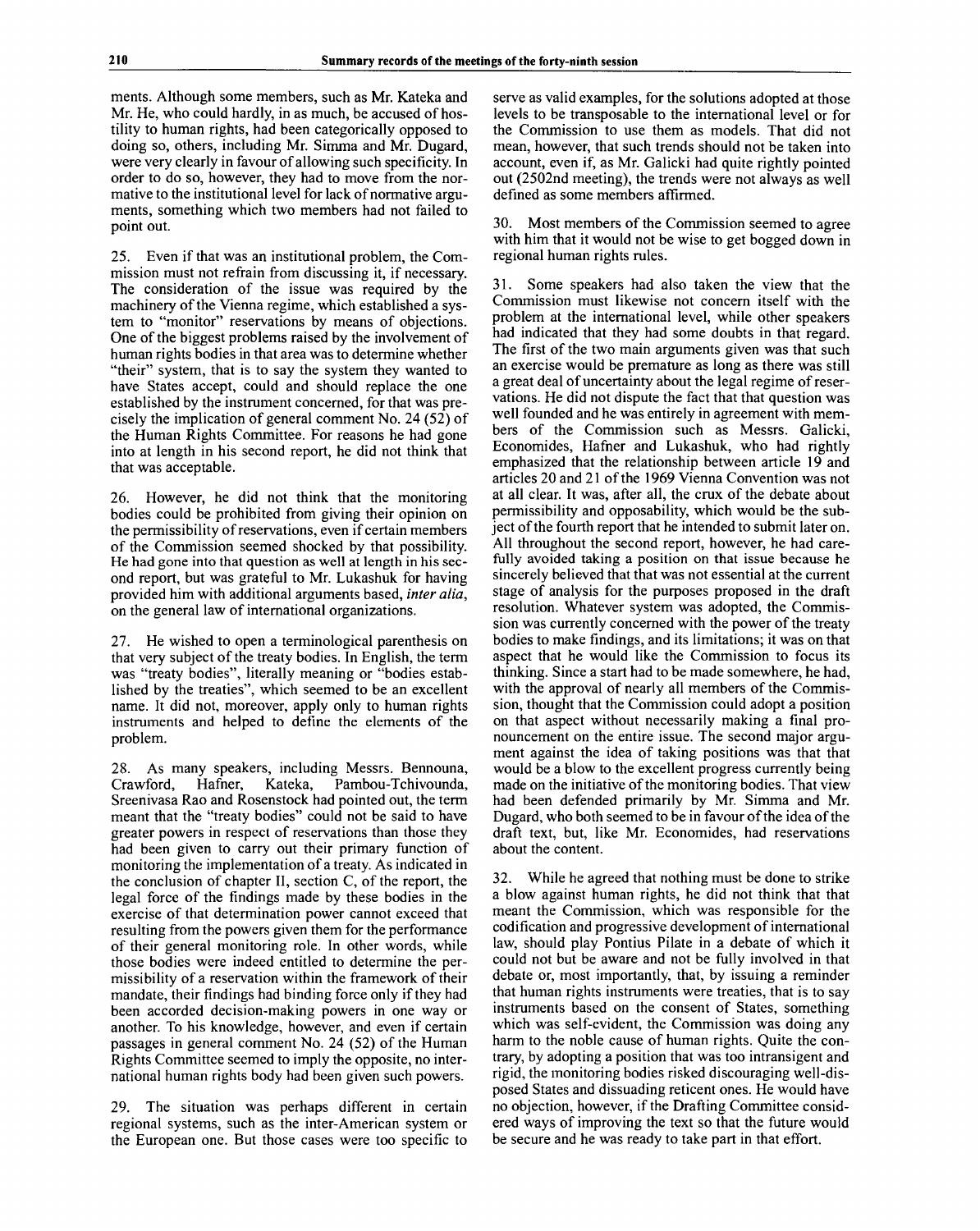ments. Although some members, such as Mr. Kateka and Mr. He, who could hardly, in as much, be accused of hostility to human rights, had been categorically opposed to doing so, others, including Mr. Simma and Mr. Dugard, were very clearly in favour of allowing such specificity. In order to do so, however, they had to move from the normative to the institutional level for lack of normative arguments, something which two members had not failed to point out.

25. Even if that was an institutional problem, the Commission must not refrain from discussing it, if necessary. The consideration of the issue was required by the machinery of the Vienna regime, which established a system to "monitor" reservations by means of objections. One of the biggest problems raised by the involvement of human rights bodies in that area was to determine whether "their" system, that is to say the system they wanted to have States accept, could and should replace the one established by the instrument concerned, for that was precisely the implication of general comment No. 24 (52) of the Human Rights Committee. For reasons he had gone into at length in his second report, he did not think that that was acceptable.

26. However, he did not think that the monitoring bodies could be prohibited from giving their opinion on the permissibility of reservations, even if certain members of the Commission seemed shocked by that possibility. He had gone into that question as well at length in his second report, but was grateful to Mr. Lukashuk for having provided him with additional arguments based, *inter alia,* on the general law of international organizations.

27. He wished to open a terminological parenthesis on that very subject of the treaty bodies. In English, the term was "treaty bodies", literally meaning or "bodies established by the treaties", which seemed to be an excellent name. It did not, moreover, apply only to human rights instruments and helped to define the elements of the problem.

28. As many speakers, including Messrs. Bennouna, Crawford, Hafner, Kateka, Pambou-Tchivounda, Sreenivasa Rao and Rosenstock had pointed out, the term meant that the "treaty bodies" could not be said to have greater powers in respect of reservations than those they had been given to carry out their primary function of monitoring the implementation of a treaty. As indicated in the conclusion of chapter II, section C, of the report, the legal force of the findings made by these bodies in the exercise of that determination power cannot exceed that resulting from the powers given them for the performance of their general monitoring role. In other words, while those bodies were indeed entitled to determine the permissibility of a reservation within the framework of their mandate, their findings had binding force only if they had been accorded decision-making powers in one way or another. To his knowledge, however, and even if certain passages in general comment No. 24 (52) of the Human Rights Committee seemed to imply the opposite, no international human rights body had been given such powers.

29. The situation was perhaps different in certain regional systems, such as the inter-American system or the European one. But those cases were too specific to serve as valid examples, for the solutions adopted at those levels to be transposable to the international level or for the Commission to use them as models. That did not mean, however, that such trends should not be taken into account, even if, as Mr. Galicki had quite rightly pointed out (2502nd meeting), the trends were not always as well defined as some members affirmed.

30. Most members of the Commission seemed to agree with him that it would not be wise to get bogged down in regional human rights rules.

31. Some speakers had also taken the view that the Commission must likewise not concern itself with the problem at the international level, while other speakers had indicated that they had some doubts in that regard. The first of the two main arguments given was that such an exercise would be premature as long as there was still a great deal of uncertainty about the legal regime of reservations. He did not dispute the fact that that question was well founded and he was entirely in agreement with members of the Commission such as Messrs. Galicki, Economides, Hafner and Lukashuk, who had rightly emphasized that the relationship between article 19 and articles 20 and 21 of the 1969 Vienna Convention was not at all clear. It was, after all, the crux of the debate about permissibility and opposability, which would be the subject of the fourth report that he intended to submit later on. All throughout the second report, however, he had carefully avoided taking a position on that issue because he sincerely believed that that was not essential at the current stage of analysis for the purposes proposed in the draft resolution. Whatever system was adopted, the Commission was currently concerned with the power of the treaty bodies to make findings, and its limitations; it was on that aspect that he would like the Commission to focus its thinking. Since a start had to be made somewhere, he had, with the approval of nearly all members of the Commission, thought that the Commission could adopt a position on that aspect without necessarily making a final pronouncement on the entire issue. The second major argument against the idea of taking positions was that that would be a blow to the excellent progress currently being made on the initiative of the monitoring bodies. That view had been defended primarily by Mr. Simma and Mr. Dugard, who both seemed to be in favour of the idea of the draft text, but, like Mr. Economides, had reservations about the content.

32. While he agreed that nothing must be done to strike a blow against human rights, he did not think that that meant the Commission, which was responsible for the codification and progressive development of international law, should play Pontius Pilate in a debate of which it could not but be aware and not be fully involved in that debate or, most importantly, that, by issuing a reminder that human rights instruments were treaties, that is to say instruments based on the consent of States, something which was self-evident, the Commission was doing any harm to the noble cause of human rights. Quite the contrary, by adopting a position that was too intransigent and rigid, the monitoring bodies risked discouraging well-disposed States and dissuading reticent ones. He would have no objection, however, if the Drafting Committee considered ways of improving the text so that the future would be secure and he was ready to take part in that effort.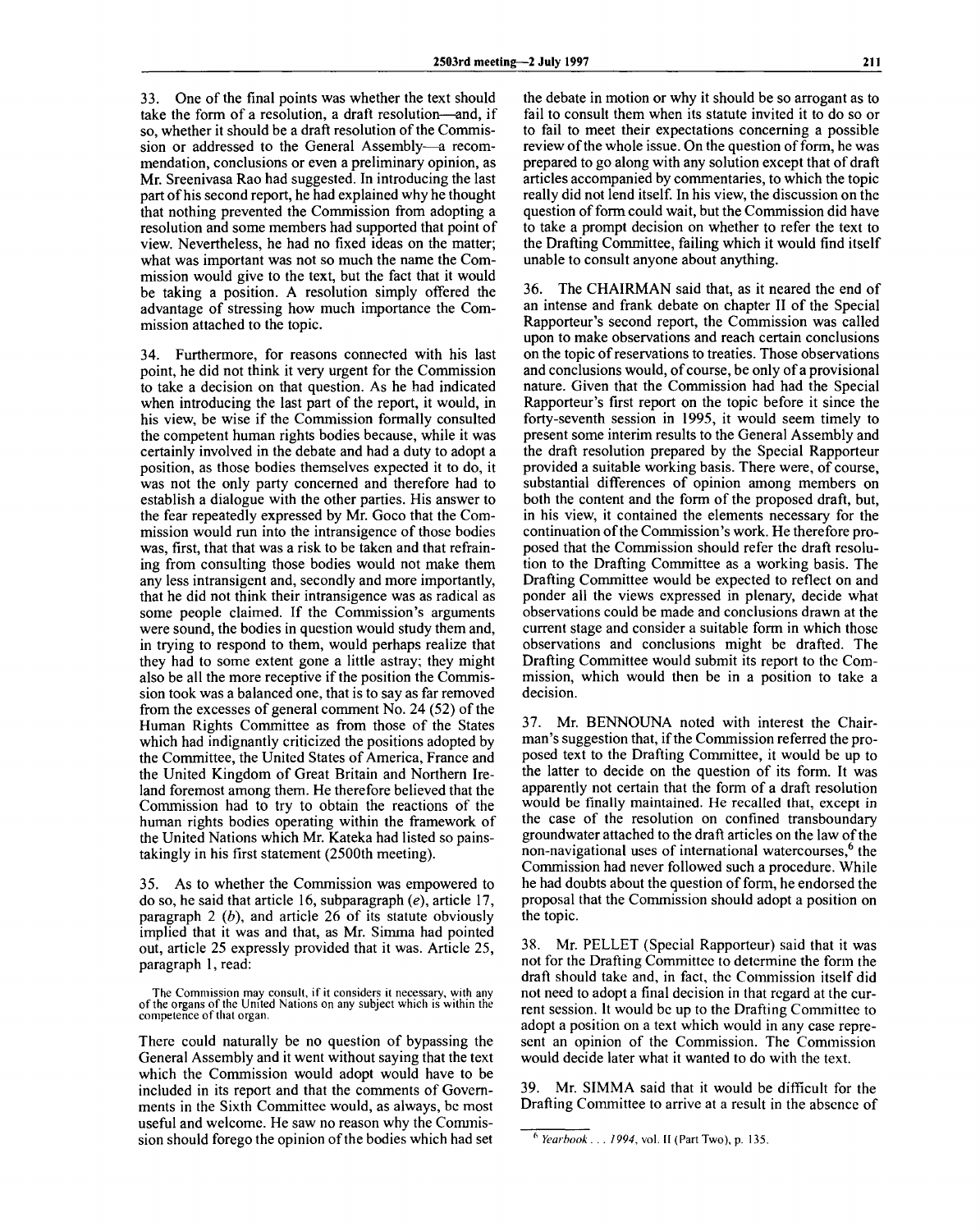33. One of the final points was whether the text should take the form of a resolution, a draft resolution—and, if so, whether it should be a draft resolution of the Commission or addressed to the General Assembly—a recommendation, conclusions or even a preliminary opinion, as Mr. Sreenivasa Rao had suggested. In introducing the last part of his second report, he had explained why he thought that nothing prevented the Commission from adopting a resolution and some members had supported that point of view. Nevertheless, he had no fixed ideas on the matter; what was important was not so much the name the Commission would give to the text, but the fact that it would be taking a position. A resolution simply offered the advantage of stressing how much importance the Commission attached to the topic.

34. Furthermore, for reasons connected with his last point, he did not think it very urgent for the Commission to take a decision on that question. As he had indicated when introducing the last part of the report, it would, in his view, be wise if the Commission formally consulted the competent human rights bodies because, while it was certainly involved in the debate and had a duty to adopt a position, as those bodies themselves expected it to do, it was not the only party concerned and therefore had to establish a dialogue with the other parties. His answer to the fear repeatedly expressed by Mr. Goco that the Commission would run into the intransigence of those bodies was, first, that that was a risk to be taken and that refraining from consulting those bodies would not make them any less intransigent and, secondly and more importantly, that he did not think their intransigence was as radical as some people claimed. If the Commission's arguments were sound, the bodies in question would study them and, in trying to respond to them, would perhaps realize that they had to some extent gone a little astray; they might also be all the more receptive if the position the Commission took was a balanced one, that is to say as far removed from the excesses of general comment No. 24 (52) of the Human Rights Committee as from those of the States which had indignantly criticized the positions adopted by the Committee, the United States of America, France and the United Kingdom of Great Britain and Northern Ireland foremost among them. He therefore believed that the Commission had to try to obtain the reactions of the human rights bodies operating within the framework of the United Nations which Mr. Kateka had listed so painstakingly in his first statement (2500th meeting).

35. As to whether the Commission was empowered to do so, he said that article 16, subparagraph *(e),* article 17, paragraph 2 *(b),* and article 26 of its statute obviously implied that it was and that, as Mr. Simma had pointed out, article 25 expressly provided that it was. Article 25, paragraph 1, read:

The Commission may consult, if it considers it necessary, with any of the organs of the United Nations on any subject which is within the competence of that organ.

There could naturally be no question of bypassing the General Assembly and it went without saying that the text which the Commission would adopt would have to be included in its report and that the comments of Governments in the Sixth Committee would, as always, be most useful and welcome. He saw no reason why the Commission should forego the opinion of the bodies which had set

the debate in motion or why it should be so arrogant as to fail to consult them when its statute invited it to do so or to fail to meet their expectations concerning a possible review of the whole issue. On the question of form, he was prepared to go along with any solution except that of draft articles accompanied by commentaries, to which the topic really did not lend itself. In his view, the discussion on the question of form could wait, but the Commission did have to take a prompt decision on whether to refer the text to the Drafting Committee, failing which it would find itself unable to consult anyone about anything.

36. The CHAIRMAN said that, as it neared the end of an intense and frank debate on chapter II of the Special Rapporteur's second report, the Commission was called upon to make observations and reach certain conclusions on the topic of reservations to treaties. Those observations and conclusions would, of course, be only of a provisional nature. Given that the Commission had had the Special Rapporteur's first report on the topic before it since the forty-seventh session in 1995, it would seem timely to present some interim results to the General Assembly and the draft resolution prepared by the Special Rapporteur provided a suitable working basis. There were, of course, substantial differences of opinion among members on both the content and the form of the proposed draft, but, in his view, it contained the elements necessary for the continuation of the Commission's work. He therefore proposed that the Commission should refer the draft resolution to the Drafting Committee as a working basis. The Drafting Committee would be expected to reflect on and ponder all the views expressed in plenary, decide what observations could be made and conclusions drawn at the current stage and consider a suitable form in which those observations and conclusions might be drafted. The Drafting Committee would submit its report to the Commission, which would then be in a position to take a decision.

37. Mr. BENNOUNA noted with interest the Chairman's suggestion that, if the Commission referred the proposed text to the Drafting Committee, it would be up to the latter to decide on the question of its form. It was apparently not certain that the form of a draft resolution would be finally maintained. He recalled that, except in the case of the resolution on confined transboundary groundwater attached to the draft articles on the law of the  $\overline{a}$  non-navigational uses of international watercourses,  $\overline{b}$  the Commission had never followed such a procedure. While he had doubts about the question of form, he endorsed the proposal that the Commission should adopt a position on the topic.

38. Mr. PELLET (Special Rapporteur) said that it was not for the Drafting Committee to determine the form the draft should take and, in fact, the Commission itself did not need to adopt a final decision in that regard at the current session. It would be up to the Drafting Committee to adopt a position on a text which would in any case represent an opinion of the Commission. The Commission would decide later what it wanted to do with the text.

39. Mr. SIMMA said that it would be difficult for the Drafting Committee to arrive at a result in the absence of

<sup>6</sup>  *Yearbook . . . 1994,* vol. II (Part Two), p. 135.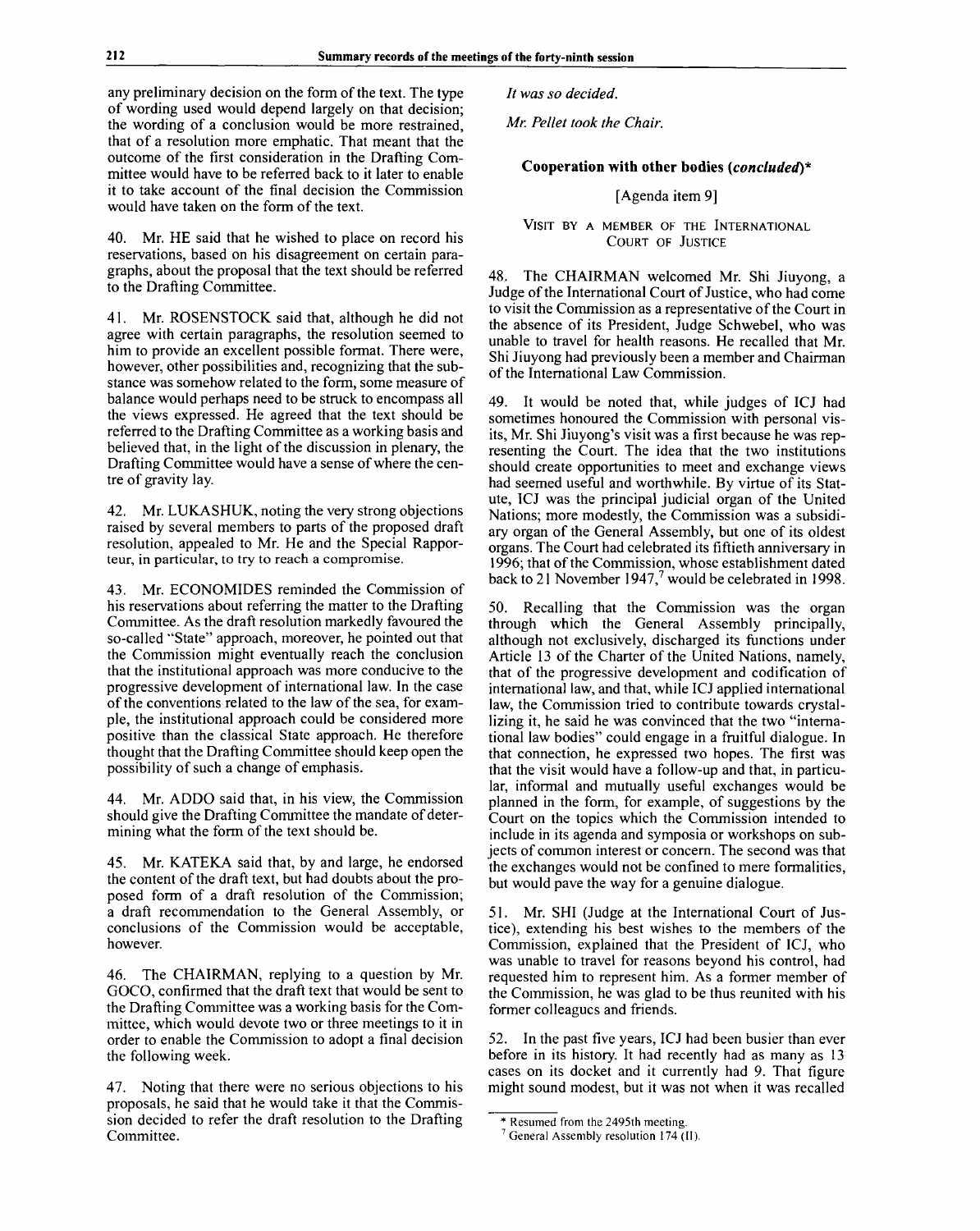any preliminary decision on the form of the text. The type of wording used would depend largely on that decision; the wording of a conclusion would be more restrained, that of a resolution more emphatic. That meant that the outcome of the first consideration in the Drafting Committee would have to be referred back to it later to enable it to take account of the final decision the Commission would have taken on the form of the text.

40. Mr. HE said that he wished to place on record his reservations, based on his disagreement on certain paragraphs, about the proposal that the text should be referred to the Drafting Committee.

41. Mr. ROSENSTOCK said that, although he did not agree with certain paragraphs, the resolution seemed to him to provide an excellent possible format. There were, however, other possibilities and, recognizing that the substance was somehow related to the form, some measure of balance would perhaps need to be struck to encompass all the views expressed. He agreed that the text should be referred to the Drafting Committee as a working basis and believed that, in the light of the discussion in plenary, the Drafting Committee would have a sense of where the centre of gravity lay.

42. Mr. LUKASHUK, noting the very strong objections raised by several members to parts of the proposed draft resolution, appealed to Mr. He and the Special Rapporteur, in particular, to try to reach a compromise.

43. Mr. ECONOMIDES reminded the Commission of his reservations about referring the matter to the Drafting Committee. As the draft resolution markedly favoured the so-called "State" approach, moreover, he pointed out that the Commission might eventually reach the conclusion that the institutional approach was more conducive to the progressive development of international law. In the case of the conventions related to the law of the sea, for example, the institutional approach could be considered more positive than the classical State approach. He therefore thought that the Drafting Committee should keep open the possibility of such a change of emphasis.

44. Mr. ADDO said that, in his view, the Commission should give the Drafting Committee the mandate of determining what the form of the text should be.

45. Mr. KATEKA said that, by and large, he endorsed the content of the draft text, but had doubts about the proposed form of a draft resolution of the Commission; a draft recommendation to the General Assembly, or conclusions of the Commission would be acceptable, however.

46. The CHAIRMAN, replying to a question by Mr. GOCO, confirmed that the draft text that would be sent to the Drafting Committee was a working basis for the Committee, which would devote two or three meetings to it in order to enable the Commission to adopt a final decision the following week.

47. Noting that there were no serious objections to his proposals, he said that he would take it that the Commission decided to refer the draft resolution to the Drafting Committee.

*It was so decided.*

*Mr. Pellet took the Chair.*

**Cooperation with other bodies** *{concluded)\**

[Agenda item 9]

VISIT BY A MEMBER OF THE INTERNATIONAL COURT OF JUSTICE

48. The CHAIRMAN welcomed Mr. Shi Jiuyong, a Judge of the International Court of Justice, who had come to visit the Commission as a representative of the Court in the absence of its President, Judge Schwebel, who was unable to travel for health reasons. He recalled that Mr. Shi Jiuyong had previously been a member and Chairman of the International Law Commission.

49. It would be noted that, while judges of ICJ had sometimes honoured the Commission with personal visits, Mr. Shi Jiuyong's visit was a first because he was representing the Court. The idea that the two institutions should create opportunities to meet and exchange views had seemed useful and worthwhile. By virtue of its Statute, ICJ was the principal judicial organ of the United Nations; more modestly, the Commission was a subsidiary organ of the General Assembly, but one of its oldest organs. The Court had celebrated its fiftieth anniversary in 1996; that of the Commission, whose establishment dated  $\frac{1}{2}$  back to 21 November 1947,<sup>7</sup> would be celebrated in 1998.

50. Recalling that the Commission was the organ through which the General Assembly principally, although not exclusively, discharged its functions under Article 13 of the Charter of the United Nations, namely, that of the progressive development and codification of international law, and that, while ICJ applied international law, the Commission tried to contribute towards crystallizing it, he said he was convinced that the two "international law bodies" could engage in a fruitful dialogue. In that connection, he expressed two hopes. The first was that the visit would have a follow-up and that, in particular, informal and mutually useful exchanges would be planned in the form, for example, of suggestions by the Court on the topics which the Commission intended to include in its agenda and symposia or workshops on subjects of common interest or concern. The second was that the exchanges would not be confined to mere formalities, but would pave the way for a genuine dialogue.

51. Mr. SHI (Judge at the International Court of Justice), extending his best wishes to the members of the Commission, explained that the President of ICJ, who was unable to travel for reasons beyond his control, had requested him to represent him. As a former member of the Commission, he was glad to be thus reunited with his former colleagues and friends.

52. In the past five years, ICJ had been busier than ever before in its history. It had recently had as many as 13 cases on its docket and it currently had 9. That figure might sound modest, but it was not when it was recalled

<sup>\*</sup> Resumed from the 2495th meeting.

<sup>&</sup>lt;sup>7</sup> General Assembly resolution 174 (II).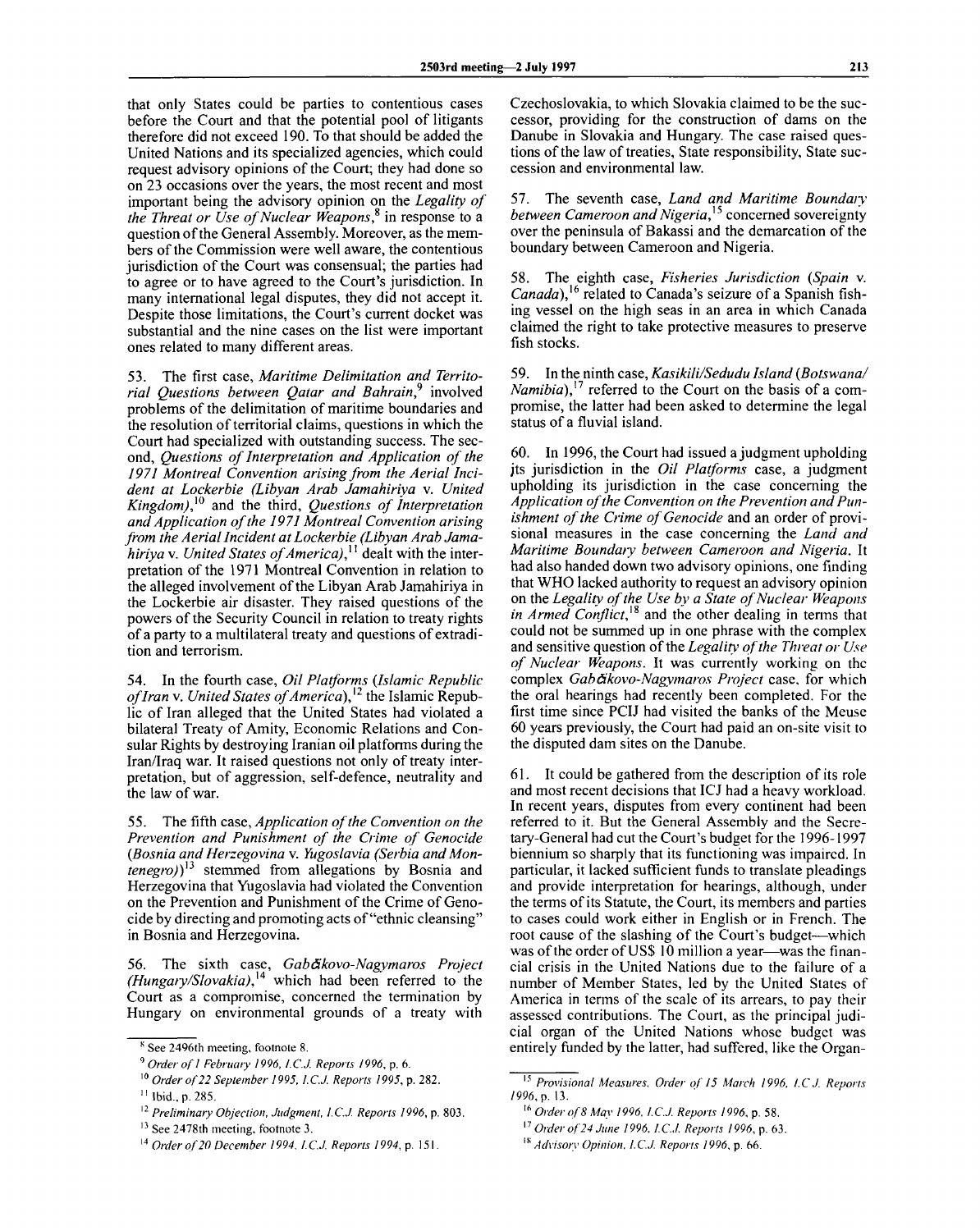that only States could be parties to contentious cases before the Court and that the potential pool of litigants therefore did not exceed 190. To that should be added the United Nations and its specialized agencies, which could request advisory opinions of the Court; they had done so on 23 occasions over the years, the most recent and most important being the advisory opinion on the *Legality of the Threat or Use of Nuclear Weapons?* in response to a question of the General Assembly. Moreover, as the members of the Commission were well aware, the contentious jurisdiction of the Court was consensual; the parties had to agree or to have agreed to the Court's jurisdiction. In many international legal disputes, they did not accept it. Despite those limitations, the Court's current docket was substantial and the nine cases on the list were important ones related to many different areas.

53. The first case, *Maritime Delimitation and Territorial Questions between Qatar and Bahrain?* involved problems of the delimitation of maritime boundaries and the resolution of territorial claims, questions in which the Court had specialized with outstanding success. The second, *Questions of Interpretation and Application of the 1971 Montreal Convention arising from the Aerial Incident at Lockerbie (Libyan Arab Jamahiriya* v. *United Kingdom)?<sup>0</sup>* and the third, *Questions of Interpretation and Application of the 1971 Montreal Convention arising from the Aerial Incident at Lockerbie (Libyan Arab Jamahiriya* v. *United States of America*),<sup>11</sup> dealt with the interpretation of the 1971 Montreal Convention in relation to the alleged involvement of the Libyan Arab Jamahiriya in the Lockerbie air disaster. They raised questions of the powers of the Security Council in relation to treaty rights of a party to a multilateral treaty and questions of extradition and terrorism.

54. In the fourth case, *Oil Platforms (Islamic Republic* of Iran v. United States of America), <sup>12</sup> the Islamic Republic of Iran alleged that the United States had violated a bilateral Treaty of Amity, Economic Relations and Consular Rights by destroying Iranian oil platforms during the Iran/Iraq war. It raised questions not only of treaty interpretation, but of aggression, self-defence, neutrality and the law of war.

55. The fifth case, *Application of the Convention on the Prevention and Punishment of the Crime of Genocide (Bosnia and Herzegovina* v. *Yugoslavia (Serbia and Montenegro*))<sup>13</sup> stemmed from allegations by Bosnia and Herzegovina that Yugoslavia had violated the Convention on the Prevention and Punishment of the Crime of Genocide by directing and promoting acts of "ethnic cleansing" in Bosnia and Herzegovina.

56. The sixth case, *Gabdkovo-Nagymaros Project (Hungary/Slovakia)?<sup>4</sup>* which had been referred to the Court as a compromise, concerned the termination by Hungary on environmental grounds of a treaty with Czechoslovakia, to which Slovakia claimed to be the successor, providing for the construction of dams on the Danube in Slovakia and Hungary. The case raised questions of the law of treaties, State responsibility, State succession and environmental law.

57. The seventh case, *Land and Maritime Boundary* between Cameroon and Nigeria,<sup>15</sup> concerned sovereignty over the peninsula of Bakassi and the demarcation of the boundary between Cameroon and Nigeria.

58. The eighth case, *Fisheries Jurisdiction (Spain* v. Canada),<sup>16</sup> related to Canada's seizure of a Spanish fishing vessel on the high seas in an area in which Canada claimed the right to take protective measures to preserve fish stocks.

59. In the ninth case, *Kasikili/Sedudu Island (Botswana/ Namibia*),<sup>17</sup> referred to the Court on the basis of a compromise, the latter had been asked to determine the legal status of a fluvial island.

60. In 1996, the Court had issued a judgment upholding ;ts jurisdiction in the *Oil Platforms* case, a judgment upholding its jurisdiction in the case concerning the *Application of the Convention on the Prevention and Punishment of the Crime of Genocide* and an order of provisional measures in the case concerning the *Land and Maritime Boundary between Cameroon and Nigeria.* It had also handed down two advisory opinions, one finding that WHO lacked authority to request an advisory opinion on the *Legality of the Use by a State of Nuclear Weapons in Armed Conflict*,<sup>18</sup> and the other dealing in terms that could not be summed up in one phrase with the complex and sensitive question of the *Legality of the Threat or Use of Nuclear Weapons.* It was currently working on the complex Gabäkovo-Nagymaros Project case, for which the oral hearings had recently been completed. For the first time since PCIJ had visited the banks of the Meuse 60 years previously, the Court had paid an on-site visit to the disputed dam sites on the Danube.

61. It could be gathered from the description of its role and most recent decisions that ICJ had a heavy workload. In recent years, disputes from every continent had been referred to it. But the General Assembly and the Secretary-General had cut the Court's budget for the 1996-1997 biennium so sharply that its functioning was impaired. In particular, it lacked sufficient funds to translate pleadings and provide interpretation for hearings, although, under the terms of its Statute, the Court, its members and parties to cases could work either in English or in French. The root cause of the slashing of the Court's budget—which was of the order of US\$ 10 million a year—was the financial crisis in the United Nations due to the failure of a number of Member States, led by the United States of America in terms of the scale of its arrears, to pay their assessed contributions. The Court, as the principal judicial organ of the United Nations whose budget was entirely funded by the latter, had suffered, like the Organ-

<sup>&</sup>lt;sup>8</sup> See 2496th meeting, footnote 8.

<sup>9</sup>  *Order of 1 February 1996, l.C.J. Reports 1996,* p. 6.

<sup>10</sup>  *Order of 22 September 1995, l.C.J. Reports 1995,* p. 282.  $11$  Ibid., p. 285.

<sup>12</sup>  *Preliminary Objection, Judgment, l.C.J. Reports 1996,* p. 803.

<sup>&</sup>lt;sup>13</sup> See 2478th meeting, footnote 3.

<sup>14</sup>  *Order of 20 December 1994. l.C.J. Reports 1994,* p. 151.

<sup>15</sup>  *Provisional Measures, Order of 15 March 1996, I.C J. Reports 1996,* p. 13.

<sup>16</sup>  *Order of 8 May 1996. l.C.J. Reports 1996,* p. 58.

<sup>17</sup>  *Order of 24 June 1996, l.C.J. Reports 1996,* p. 63.

lx  *Advisory Opinion. l.C.J. Reports 1996,* p. 66.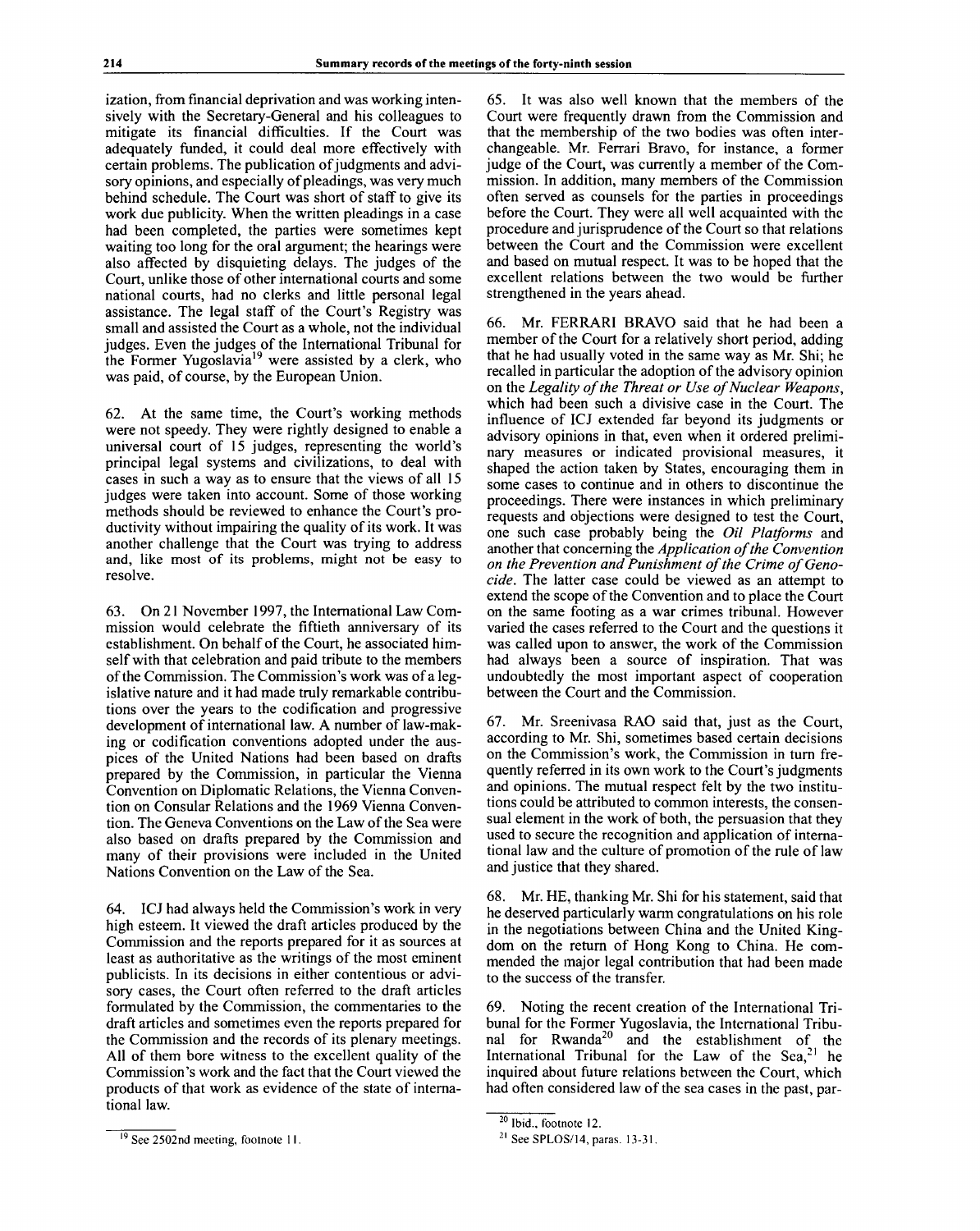ization, from financial deprivation and was working intensively with the Secretary-General and his colleagues to mitigate its financial difficulties. If the Court was adequately funded, it could deal more effectively with certain problems. The publication of judgments and advisory opinions, and especially of pleadings, was very much behind schedule. The Court was short of staff to give its work due publicity. When the written pleadings in a case had been completed, the parties were sometimes kept waiting too long for the oral argument; the hearings were also affected by disquieting delays. The judges of the Court, unlike those of other international courts and some national courts, had no clerks and little personal legal assistance. The legal staff of the Court's Registry was small and assisted the Court as a whole, not the individual judges. Even the judges of the International Tribunal for the Former Yugoslavia<sup>19</sup> were assisted by a clerk, who was paid, of course, by the European Union.

62. At the same time, the Court's working methods were not speedy. They were rightly designed to enable a universal court of 15 judges, representing the world's principal legal systems and civilizations, to deal with cases in such a way as to ensure that the views of all 15 judges were taken into account. Some of those working methods should be reviewed to enhance the Court's productivity without impairing the quality of its work. It was another challenge that the Court was trying to address and, like most of its problems, might not be easy to resolve.

63. On 21 November 1997, the International Law Commission would celebrate the fiftieth anniversary of its establishment. On behalf of the Court, he associated himself with that celebration and paid tribute to the members of the Commission. The Commission's work was of a legislative nature and it had made truly remarkable contributions over the years to the codification and progressive development of international law. A number of law-making or codification conventions adopted under the auspices of the United Nations had been based on drafts prepared by the Commission, in particular the Vienna Convention on Diplomatic Relations, the Vienna Convention on Consular Relations and the 1969 Vienna Convention. The Geneva Conventions on the Law of the Sea were also based on drafts prepared by the Commission and many of their provisions were included in the United Nations Convention on the Law of the Sea.

64. ICJ had always held the Commission's work in very high esteem. It viewed the draft articles produced by the Commission and the reports prepared for it as sources at least as authoritative as the writings of the most eminent publicists. In its decisions in either contentious or advisory cases, the Court often referred to the draft articles formulated by the Commission, the commentaries to the draft articles and sometimes even the reports prepared for the Commission and the records of its plenary meetings. All of them bore witness to the excellent quality of the Commission's work and the fact that the Court viewed the products of that work as evidence of the state of international law.

65. It was also well known that the members of the Court were frequently drawn from the Commission and that the membership of the two bodies was often interchangeable. Mr. Ferrari Bravo, for instance, a former judge of the Court, was currently a member of the Commission. In addition, many members of the Commission often served as counsels for the parties in proceedings before the Court. They were all well acquainted with the procedure and jurisprudence of the Court so that relations between the Court and the Commission were excellent and based on mutual respect. It was to be hoped that the excellent relations between the two would be further strengthened in the years ahead.

66. Mr. FERRARI BRAVO said that he had been a member of the Court for a relatively short period, adding that he had usually voted in the same way as Mr. Shi; he recalled in particular the adoption of the advisory opinion on the *Legality of the Threat or Use of Nuclear Weapons,* which had been such a divisive case in the Court. The influence of ICJ extended far beyond its judgments or advisory opinions in that, even when it ordered preliminary measures or indicated provisional measures, it shaped the action taken by States, encouraging them in some cases to continue and in others to discontinue the proceedings. There were instances in which preliminary requests and objections were designed to test the Court, one such case probably being the *Oil Platforms* and another that concerning the *Application of the Convention on the Prevention and Punishment of the Crime of Genocide.* The latter case could be viewed as an attempt to extend the scope of the Convention and to place the Court on the same footing as a war crimes tribunal. However varied the cases referred to the Court and the questions it was called upon to answer, the work of the Commission had always been a source of inspiration. That was undoubtedly the most important aspect of cooperation between the Court and the Commission.

Mr. Sreenivasa RAO said that, just as the Court, according to Mr. Shi, sometimes based certain decisions on the Commission's work, the Commission in turn frequently referred in its own work to the Court's judgments and opinions. The mutual respect felt by the two institutions could be attributed to common interests, the consensual element in the work of both, the persuasion that they used to secure the recognition and application of international law and the culture of promotion of the rule of law and justice that they shared.

68. Mr. HE, thanking Mr. Shi for his statement, said that he deserved particularly warm congratulations on his role in the negotiations between China and the United Kingdom on the return of Hong Kong to China. He commended the major legal contribution that had been made to the success of the transfer.

69. Noting the recent creation of the International Tribunal for the Former Yugoslavia, the International Tribunal for Rwanda<sup>20</sup> and the establishment of the International Tribunal for the Law of the Sea,<sup>21</sup> he inquired about future relations between the Court, which had often considered law of the sea cases in the past, par-

<sup>&</sup>lt;sup>19</sup> See 2502nd meeting, footnote 11.

<sup>&</sup>lt;sup>20</sup> Ibid., footnote 12.

 $21$  See SPLOS/14, paras. 13-31.